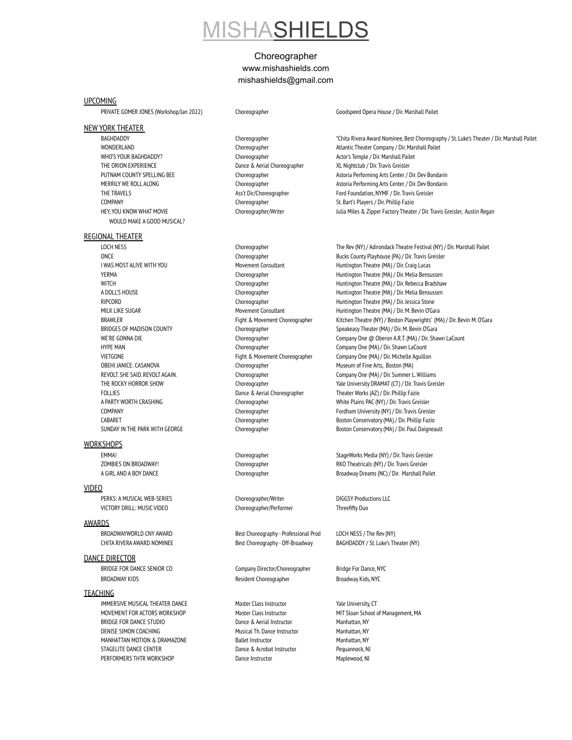# **IISHASHIEI**

## Choreographer [www.mishashields.com](http://www.mishashields.com) mishashields@gmail.com

#### UPCOMING

PRIVATE GOMER JONES (Workshop/Jan 2022) Choreographer Goodspeed Opera House / Dir. Marshall Pailet

### NEW YORK THEATER

WHO'S YOUR BAGHDADDY? Choreographer Choreographer Actor's Temple / Dir. Marshall Pailet THE ORION EXPERIENCE THE ORION EXPERIENCE Dance & Aerial Choreographer XL Nightclub / Dir. Travis Greisler COMPANY Choreographer St. Bart's Players / Dir. Phillip Fazio WOULD MAKE A GOOD MUSICAL?

#### REGIONAL THEATER

LOCH NESS Choreographer The Rev(NY) / Adirondack Theatre Festival (NY) / Dir.Marshall Pailet OBEHI JANICE: CASANOVA Choreographer Choreographer Museum of Fine Arts, Boston (MA) FOLLIES Dance & Aerial Choreographer Theater Works (AZ) / Dir. Phillip Fazio

### **WORKSHOPS**

VIDEO

PERKS: A MUSICAL WEB-SERIES Choreographer/Writer Choreographer Muslim DIGGSY Productions LLC VICTORY DRILL: MUSIC VIDEO Choreographer/Performer Threefifty Duo

#### AWARDS

BROADWAYWORLD CNY AWARD Best Choreography - Professional Prod LOCH NESS / The Rev (NY)

#### DANCE DIRECTOR

BRIDGE FOR DANCE SENIOR CO Company Director/Choreographer Bridge For Dance, NYC

### **TEACHING**

IMMERSIVE MUSICAL THEATER DANCE Master Class Instructor Master Class Instructor Master Class Instructor Vale University, CT MOVEMENT FOR ACTORS WORKSHOP Master Class Instructor MIT Sloan School of Management, MA BRIDGE FOR DANCE STUDIO **Dance & Aerial Instructor** Manhattan, NY DENISE SIMON COACHING **Musical Th. Dance Instructor** Manhattan, NY MANHATTAN MOTION & DRAMAZONE Ballet Instructor Manhattan, NY STAGELITE DANCE CENTER **Dance & Acrobat Instructor** Pequannock, NJ PERFORMERS THTR WORKSHOP **Dance Instructor** Dance Instructor Maplewood, NJ

BAGHDADDY Choreographer \*Chita Rivera Award Nominee, Best Choreography / St. Luke's Theater / Dir. Marshall Pailet WONDERLAND Choreographer Choreographer Atlantic Theater Company / Dir. Marshall Pailet PUTNAM COUNTY SPELLING BEE Choreographer Choreographer Astoria Performing Arts Center / Dir. Dev Bondarin MERRILY WE ROLL ALONG Choreographer Astoria Performing Arts Center / Dir. Dev Bondarin THE TRAVELS **Ass't Dir/Choreographer** Ford Foundation, NYMF / Dir. Travis Greisler **Ford Foundation**, NYMF / Dir. Travis Greisler HEY, YOU KNOW WHAT MOVIE Choreographer/Writer Julia Miles & Zipper Factory Theater / Dir. Travis Greisler, Austin Regan

BROADWAY KIDS **Resident Choreographer** Broadway Kids, NYC

ONCE Choreographer Bucks County Playhouse (PA) / Dir. Travis Greisler I WAS MOST ALIVE WITH YOU **Movement Consultant** Huntington Theatre (MA) / Dir. Craig Lucas YERMA Choreographer Huntington Theatre (MA) / Dir. Melia Bensussen WITCH Choreographer Huntington Theatre (MA) / Dir. Rebecca Bradshaw A DOLL'S HOUSE Choreographer Choreographer Huntington Theatre (MA) / Dir. Melia Bensussen RIPCORD Choreographer Huntington Theatre (MA) / Dir. Jessica Stone MILK LIKE SUGAR MOVEMENT Consultant Huntington Theatre (MA) / Dir. M. Bevin O'Gara BRAWLER Fight & Movement Choreographer Kitchen Theatre (NY) / Boston Playwrights' (MA) / Dir. Bevin M. O'Gara BRIDGES OF MADISON COUNTY Choreographer Speakeasy Theater (MA) / Dir. M. Bevin O'Gara WE'RE GONNA DIE **CHOREOGET CHOREOGRAPHER COMPANY ONE @ Oberon A.R.T. (MA) / Dir. Shawn LaCount** HYPE MAN Choreographer Company One (MA) / Dir. Shawn LaCount VIETGONE Fight & Movement Choreographer Company One (MA) / Dir. Michelle Aguillon REVOLT. SHE SAID. REVOLT AGAIN. Choreographer Choreographer Company One (MA) / Dir. Summer L. Williams THE ROCKY HORROR SHOW Choreographer Yale University DRAMAT (CT) / Dir. Travis Greisler A PARTY WORTH CRASHING Choreographer White Plains PAC (NY) / Dir. Travis Greisler COMPANY Choreographer Fordham University(NY) / Dir. Travis Greisler CABARET Choreographer Boston Conservatory(MA) / Dir. Phillip Fazio SUNDAY IN THE PARK WITH GEORGE Choreographer Choreographer Boston Conservatory (MA) / Dir. Paul Daigneault

EMMA! Choreographer StageWorks Media (NY) / Dir. Travis Greisler StageWorks Media (NY) / Dir. Travis Greisler ZOMBIES ON BROADWAY! Choreographer RKO Theatricals (NY) / Dir. Travis Greisler A GIRL AND A BOY DANCE Choreographer Broadway Dreams (NC) / Dir. Marshall Pailet

CHITA RIVERA AWARD NOMINEE Best Choreography- Off-Broadway BAGHDADDY / St. Luke's Theater (NY)